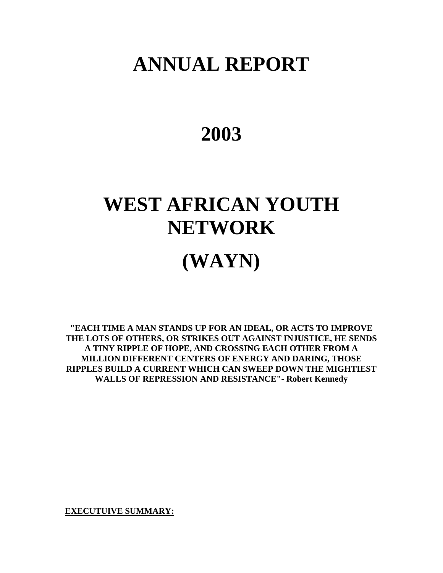# **ANNUAL REPORT**

# **2003**

# **WEST AFRICAN YOUTH NETWORK (WAYN)**

**"EACH TIME A MAN STANDS UP FOR AN IDEAL, OR ACTS TO IMPROVE THE LOTS OF OTHERS, OR STRIKES OUT AGAINST INJUSTICE, HE SENDS A TINY RIPPLE OF HOPE, AND CROSSING EACH OTHER FROM A MILLION DIFFERENT CENTERS OF ENERGY AND DARING, THOSE RIPPLES BUILD A CURRENT WHICH CAN SWEEP DOWN THE MIGHTIEST WALLS OF REPRESSION AND RESISTANCE"- Robert Kennedy** 

**EXECUTUIVE SUMMARY:**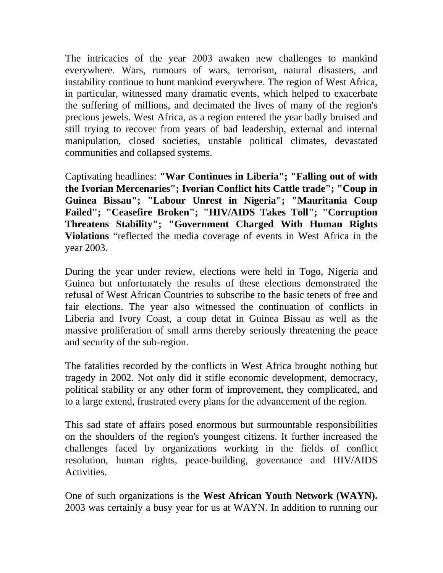The intricacies of the year 2003 awaken new challenges to mankind everywhere. Wars, rumours of wars, terrorism, natural disasters, and instability continue to hunt mankind everywhere. The region of West Africa, in particular, witnessed many dramatic events, which helped to exacerbate the suffering of millions, and decimated the lives of many of the region's precious jewels. West Africa, as a region entered the year badly bruised and still trying to recover from years of bad leadership, external and internal manipulation, closed societies, unstable political climates, devastated communities and collapsed systems.

Captivating headlines: **"War Continues in Liberia"; "Falling out of with the Ivorian Mercenaries"; Ivorian Conflict hits Cattle trade"; "Coup in Guinea Bissau"; "Labour Unrest in Nigeria"; "Mauritania Coup Failed"; "Ceasefire Broken"; "HIV/AIDS Takes Toll"; "Corruption Threatens Stability"; "Government Charged With Human Rights Violations** "reflected the media coverage of events in West Africa in the year 2003.

During the year under review, elections were held in Togo, Nigeria and Guinea but unfortunately the results of these elections demonstrated the refusal of West African Countries to subscribe to the basic tenets of free and fair elections. The year also witnessed the continuation of conflicts in Liberia and Ivory Coast, a coup detat in Guinea Bissau as well as the massive proliferation of small arms thereby seriously threatening the peace and security of the sub-region.

The fatalities recorded by the conflicts in West Africa brought nothing but tragedy in 2002. Not only did it stifle economic development, democracy, political stability or any other form of improvement, they complicated, and to a large extend, frustrated every plans for the advancement of the region.

This sad state of affairs posed enormous but surmountable responsibilities on the shoulders of the region's youngest citizens. It further increased the challenges faced by organizations working in the fields of conflict resolution, human rights, peace-building, governance and HIV/AIDS Activities.

One of such organizations is the **West African Youth Network (WAYN).**  2003 was certainly a busy year for us at WAYN. In addition to running our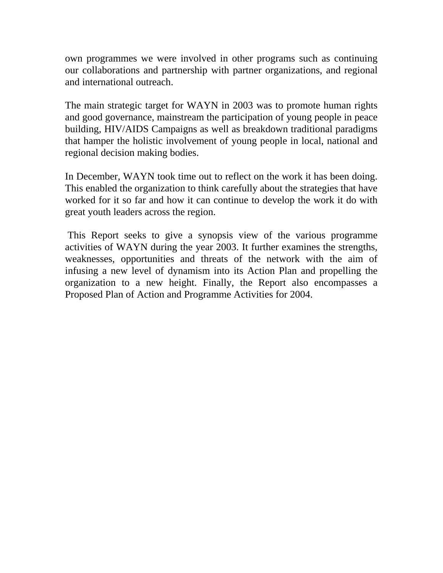own programmes we were involved in other programs such as continuing our collaborations and partnership with partner organizations, and regional and international outreach.

The main strategic target for WAYN in 2003 was to promote human rights and good governance, mainstream the participation of young people in peace building, HIV/AIDS Campaigns as well as breakdown traditional paradigms that hamper the holistic involvement of young people in local, national and regional decision making bodies.

In December, WAYN took time out to reflect on the work it has been doing. This enabled the organization to think carefully about the strategies that have worked for it so far and how it can continue to develop the work it do with great youth leaders across the region.

 This Report seeks to give a synopsis view of the various programme activities of WAYN during the year 2003. It further examines the strengths, weaknesses, opportunities and threats of the network with the aim of infusing a new level of dynamism into its Action Plan and propelling the organization to a new height. Finally, the Report also encompasses a Proposed Plan of Action and Programme Activities for 2004.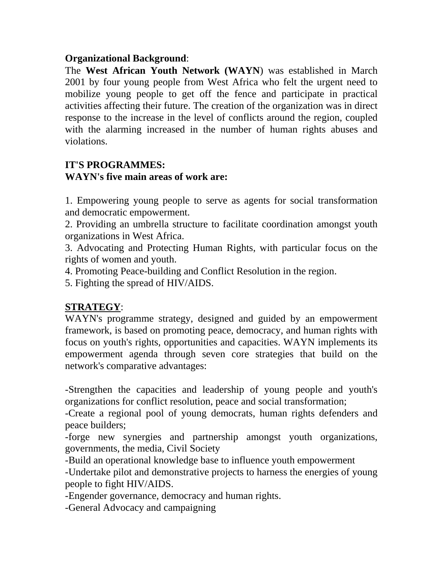#### **Organizational Background**:

The **West African Youth Network (WAYN**) was established in March 2001 by four young people from West Africa who felt the urgent need to mobilize young people to get off the fence and participate in practical activities affecting their future. The creation of the organization was in direct response to the increase in the level of conflicts around the region, coupled with the alarming increased in the number of human rights abuses and violations.

#### **IT'S PROGRAMMES: WAYN's five main areas of work are:**

1. Empowering young people to serve as agents for social transformation and democratic empowerment.

2. Providing an umbrella structure to facilitate coordination amongst youth organizations in West Africa.

3. Advocating and Protecting Human Rights, with particular focus on the rights of women and youth.

4. Promoting Peace-building and Conflict Resolution in the region.

5. Fighting the spread of HIV/AIDS.

# **STRATEGY**:

WAYN's programme strategy, designed and guided by an empowerment framework, is based on promoting peace, democracy, and human rights with focus on youth's rights, opportunities and capacities. WAYN implements its empowerment agenda through seven core strategies that build on the network's comparative advantages:

-Strengthen the capacities and leadership of young people and youth's organizations for conflict resolution, peace and social transformation;

-Create a regional pool of young democrats, human rights defenders and peace builders;

-forge new synergies and partnership amongst youth organizations, governments, the media, Civil Society

-Build an operational knowledge base to influence youth empowerment

-Undertake pilot and demonstrative projects to harness the energies of young people to fight HIV/AIDS.

-Engender governance, democracy and human rights.

-General Advocacy and campaigning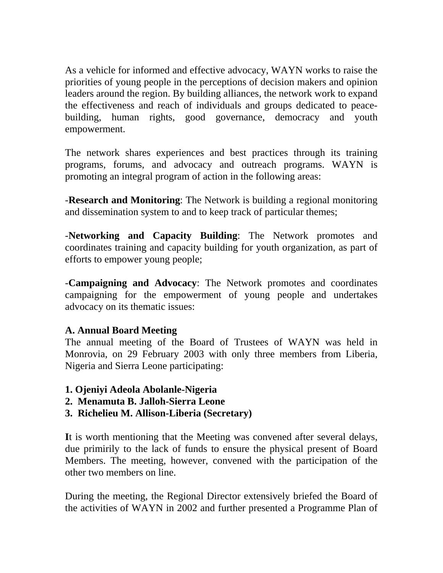As a vehicle for informed and effective advocacy, WAYN works to raise the priorities of young people in the perceptions of decision makers and opinion leaders around the region. By building alliances, the network work to expand the effectiveness and reach of individuals and groups dedicated to peacebuilding, human rights, good governance, democracy and youth empowerment.

The network shares experiences and best practices through its training programs, forums, and advocacy and outreach programs. WAYN is promoting an integral program of action in the following areas:

-**Research and Monitoring**: The Network is building a regional monitoring and dissemination system to and to keep track of particular themes;

-**Networking and Capacity Building**: The Network promotes and coordinates training and capacity building for youth organization, as part of efforts to empower young people;

-**Campaigning and Advocacy**: The Network promotes and coordinates campaigning for the empowerment of young people and undertakes advocacy on its thematic issues:

#### **A. Annual Board Meeting**

The annual meeting of the Board of Trustees of WAYN was held in Monrovia, on 29 February 2003 with only three members from Liberia, Nigeria and Sierra Leone participating:

- **1. Ojeniyi Adeola Abolanle-Nigeria**
- **2. Menamuta B. Jalloh-Sierra Leone**
- **3. Richelieu M. Allison-Liberia (Secretary)**

**I**t is worth mentioning that the Meeting was convened after several delays, due primirily to the lack of funds to ensure the physical present of Board Members. The meeting, however, convened with the participation of the other two members on line.

During the meeting, the Regional Director extensively briefed the Board of the activities of WAYN in 2002 and further presented a Programme Plan of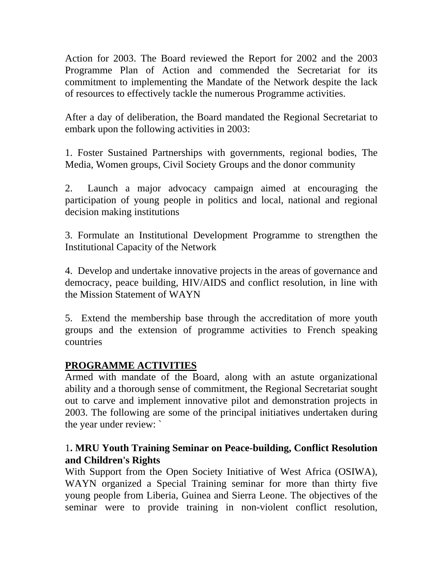Action for 2003. The Board reviewed the Report for 2002 and the 2003 Programme Plan of Action and commended the Secretariat for its commitment to implementing the Mandate of the Network despite the lack of resources to effectively tackle the numerous Programme activities.

After a day of deliberation, the Board mandated the Regional Secretariat to embark upon the following activities in 2003:

1. Foster Sustained Partnerships with governments, regional bodies, The Media, Women groups, Civil Society Groups and the donor community

2. Launch a major advocacy campaign aimed at encouraging the participation of young people in politics and local, national and regional decision making institutions

3. Formulate an Institutional Development Programme to strengthen the Institutional Capacity of the Network

4. Develop and undertake innovative projects in the areas of governance and democracy, peace building, HIV/AIDS and conflict resolution, in line with the Mission Statement of WAYN

5. Extend the membership base through the accreditation of more youth groups and the extension of programme activities to French speaking countries

# **PROGRAMME ACTIVITIES**

Armed with mandate of the Board, along with an astute organizational ability and a thorough sense of commitment, the Regional Secretariat sought out to carve and implement innovative pilot and demonstration projects in 2003. The following are some of the principal initiatives undertaken during the year under review: `

#### 1**. MRU Youth Training Seminar on Peace-building, Conflict Resolution and Children's Rights**

With Support from the Open Society Initiative of West Africa (OSIWA), WAYN organized a Special Training seminar for more than thirty five young people from Liberia, Guinea and Sierra Leone. The objectives of the seminar were to provide training in non-violent conflict resolution,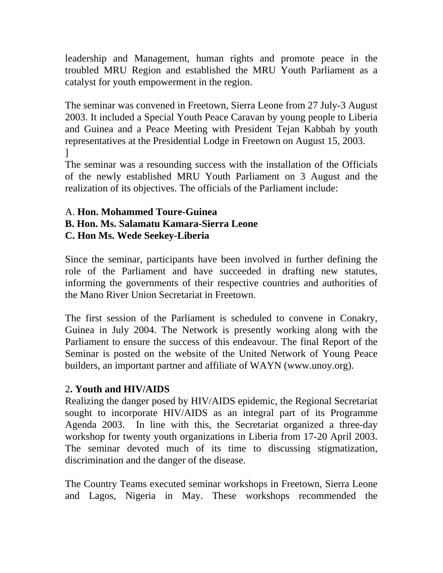leadership and Management, human rights and promote peace in the troubled MRU Region and established the MRU Youth Parliament as a catalyst for youth empowerment in the region.

The seminar was convened in Freetown, Sierra Leone from 27 July-3 August 2003. It included a Special Youth Peace Caravan by young people to Liberia and Guinea and a Peace Meeting with President Tejan Kabbah by youth representatives at the Presidential Lodge in Freetown on August 15, 2003. ]

The seminar was a resounding success with the installation of the Officials of the newly established MRU Youth Parliament on 3 August and the realization of its objectives. The officials of the Parliament include:

#### A. **Hon. Mohammed Toure-Guinea B. Hon. Ms. Salamatu Kamara-Sierra Leone C. Hon Ms. Wede Seekey-Liberia**

Since the seminar, participants have been involved in further defining the role of the Parliament and have succeeded in drafting new statutes, informing the governments of their respective countries and authorities of the Mano River Union Secretariat in Freetown.

The first session of the Parliament is scheduled to convene in Conakry, Guinea in July 2004. The Network is presently working along with the Parliament to ensure the success of this endeavour. The final Report of the Seminar is posted on the website of the United Network of Young Peace builders, an important partner and affiliate of WAYN (www.unoy.org).

# 2**. Youth and HIV/AIDS**

Realizing the danger posed by HIV/AIDS epidemic, the Regional Secretariat sought to incorporate HIV/AIDS as an integral part of its Programme Agenda 2003. In line with this, the Secretariat organized a three-day workshop for twenty youth organizations in Liberia from 17-20 April 2003. The seminar devoted much of its time to discussing stigmatization, discrimination and the danger of the disease.

The Country Teams executed seminar workshops in Freetown, Sierra Leone and Lagos, Nigeria in May. These workshops recommended the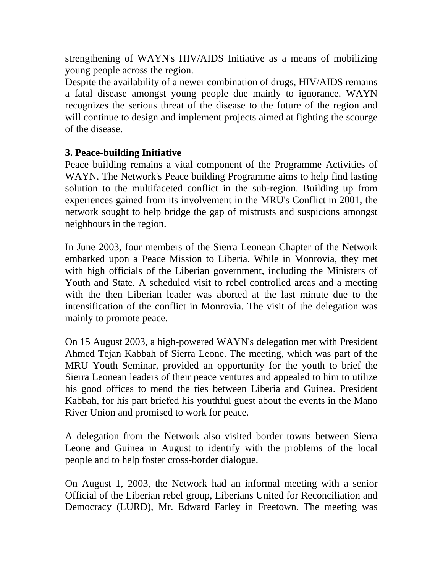strengthening of WAYN's HIV/AIDS Initiative as a means of mobilizing young people across the region.

Despite the availability of a newer combination of drugs, HIV/AIDS remains a fatal disease amongst young people due mainly to ignorance. WAYN recognizes the serious threat of the disease to the future of the region and will continue to design and implement projects aimed at fighting the scourge of the disease.

#### **3. Peace-building Initiative**

Peace building remains a vital component of the Programme Activities of WAYN. The Network's Peace building Programme aims to help find lasting solution to the multifaceted conflict in the sub-region. Building up from experiences gained from its involvement in the MRU's Conflict in 2001, the network sought to help bridge the gap of mistrusts and suspicions amongst neighbours in the region.

In June 2003, four members of the Sierra Leonean Chapter of the Network embarked upon a Peace Mission to Liberia. While in Monrovia, they met with high officials of the Liberian government, including the Ministers of Youth and State. A scheduled visit to rebel controlled areas and a meeting with the then Liberian leader was aborted at the last minute due to the intensification of the conflict in Monrovia. The visit of the delegation was mainly to promote peace.

On 15 August 2003, a high-powered WAYN's delegation met with President Ahmed Tejan Kabbah of Sierra Leone. The meeting, which was part of the MRU Youth Seminar, provided an opportunity for the youth to brief the Sierra Leonean leaders of their peace ventures and appealed to him to utilize his good offices to mend the ties between Liberia and Guinea. President Kabbah, for his part briefed his youthful guest about the events in the Mano River Union and promised to work for peace.

A delegation from the Network also visited border towns between Sierra Leone and Guinea in August to identify with the problems of the local people and to help foster cross-border dialogue.

On August 1, 2003, the Network had an informal meeting with a senior Official of the Liberian rebel group, Liberians United for Reconciliation and Democracy (LURD), Mr. Edward Farley in Freetown. The meeting was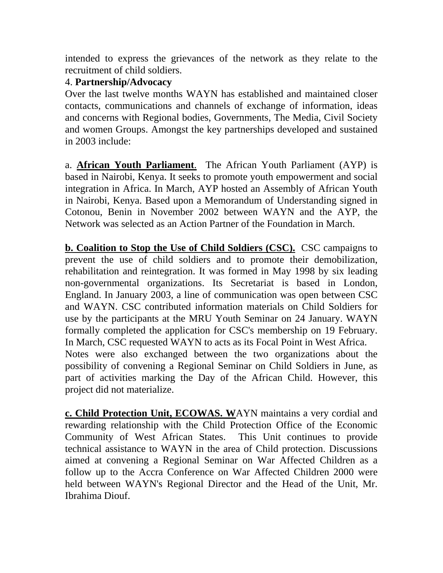intended to express the grievances of the network as they relate to the recruitment of child soldiers.

#### 4. **Partnership/Advocacy**

Over the last twelve months WAYN has established and maintained closer contacts, communications and channels of exchange of information, ideas and concerns with Regional bodies, Governments, The Media, Civil Society and women Groups. Amongst the key partnerships developed and sustained in 2003 include:

a. **African Youth Parliament**. The African Youth Parliament (AYP) is based in Nairobi, Kenya. It seeks to promote youth empowerment and social integration in Africa. In March, AYP hosted an Assembly of African Youth in Nairobi, Kenya. Based upon a Memorandum of Understanding signed in Cotonou, Benin in November 2002 between WAYN and the AYP, the Network was selected as an Action Partner of the Foundation in March.

**b. Coalition to Stop the Use of Child Soldiers (CSC).** CSC campaigns to prevent the use of child soldiers and to promote their demobilization, rehabilitation and reintegration. It was formed in May 1998 by six leading non-governmental organizations. Its Secretariat is based in London, England. In January 2003, a line of communication was open between CSC and WAYN. CSC contributed information materials on Child Soldiers for use by the participants at the MRU Youth Seminar on 24 January. WAYN formally completed the application for CSC's membership on 19 February. In March, CSC requested WAYN to acts as its Focal Point in West Africa. Notes were also exchanged between the two organizations about the possibility of convening a Regional Seminar on Child Soldiers in June, as part of activities marking the Day of the African Child. However, this project did not materialize.

**c. Child Protection Unit, ECOWAS. W**AYN maintains a very cordial and rewarding relationship with the Child Protection Office of the Economic Community of West African States. This Unit continues to provide technical assistance to WAYN in the area of Child protection. Discussions aimed at convening a Regional Seminar on War Affected Children as a follow up to the Accra Conference on War Affected Children 2000 were held between WAYN's Regional Director and the Head of the Unit, Mr. Ibrahima Diouf.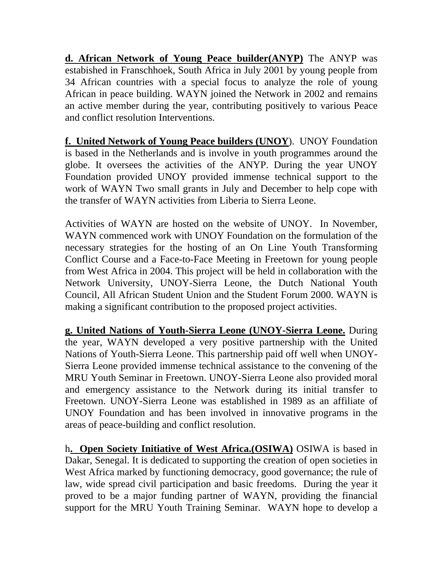**d. African Network of Young Peace builder(ANYP)** The ANYP was estabished in Franschhoek, South Africa in July 2001 by young people from 34 African countries with a special focus to analyze the role of young African in peace building. WAYN joined the Network in 2002 and remains an active member during the year, contributing positively to various Peace and conflict resolution Interventions.

**f. United Network of Young Peace builders (UNOY**). UNOY Foundation is based in the Netherlands and is involve in youth programmes around the globe. It oversees the activities of the ANYP. During the year UNOY Foundation provided UNOY provided immense technical support to the work of WAYN Two small grants in July and December to help cope with the transfer of WAYN activities from Liberia to Sierra Leone.

Activities of WAYN are hosted on the website of UNOY. In November, WAYN commenced work with UNOY Foundation on the formulation of the necessary strategies for the hosting of an On Line Youth Transforming Conflict Course and a Face-to-Face Meeting in Freetown for young people from West Africa in 2004. This project will be held in collaboration with the Network University, UNOY-Sierra Leone, the Dutch National Youth Council, All African Student Union and the Student Forum 2000. WAYN is making a significant contribution to the proposed project activities.

**g. United Nations of Youth-Sierra Leone (UNOY-Sierra Leone.** During the year, WAYN developed a very positive partnership with the United Nations of Youth-Sierra Leone. This partnership paid off well when UNOY-Sierra Leone provided immense technical assistance to the convening of the MRU Youth Seminar in Freetown. UNOY-Sierra Leone also provided moral and emergency assistance to the Network during its initial transfer to Freetown. UNOY-Sierra Leone was established in 1989 as an affiliate of UNOY Foundation and has been involved in innovative programs in the areas of peace-building and conflict resolution.

h**. Open Society Initiative of West Africa.(OSIWA)** OSIWA is based in Dakar, Senegal. It is dedicated to supporting the creation of open societies in West Africa marked by functioning democracy, good governance; the rule of law, wide spread civil participation and basic freedoms. During the year it proved to be a major funding partner of WAYN, providing the financial support for the MRU Youth Training Seminar. WAYN hope to develop a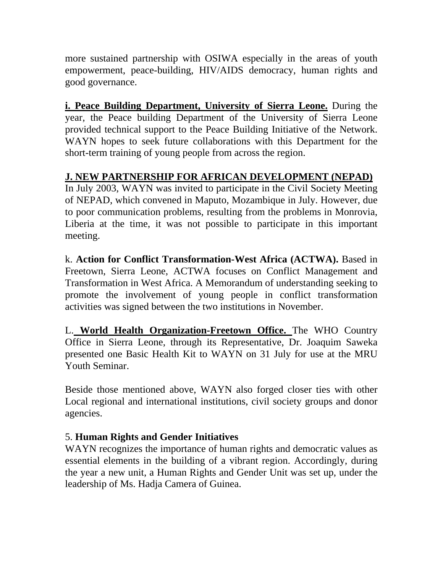more sustained partnership with OSIWA especially in the areas of youth empowerment, peace-building, HIV/AIDS democracy, human rights and good governance.

**i. Peace Building Department, University of Sierra Leone.** During the year, the Peace building Department of the University of Sierra Leone provided technical support to the Peace Building Initiative of the Network. WAYN hopes to seek future collaborations with this Department for the short-term training of young people from across the region.

# **J. NEW PARTNERSHIP FOR AFRICAN DEVELOPMENT (NEPAD)**

In July 2003, WAYN was invited to participate in the Civil Society Meeting of NEPAD, which convened in Maputo, Mozambique in July. However, due to poor communication problems, resulting from the problems in Monrovia, Liberia at the time, it was not possible to participate in this important meeting.

k. **Action for Conflict Transformation-West Africa (ACTWA).** Based in Freetown, Sierra Leone, ACTWA focuses on Conflict Management and Transformation in West Africa. A Memorandum of understanding seeking to promote the involvement of young people in conflict transformation activities was signed between the two institutions in November.

L. **World Health Organization-Freetown Office.** The WHO Country Office in Sierra Leone, through its Representative, Dr. Joaquim Saweka presented one Basic Health Kit to WAYN on 31 July for use at the MRU Youth Seminar.

Beside those mentioned above, WAYN also forged closer ties with other Local regional and international institutions, civil society groups and donor agencies.

# 5. **Human Rights and Gender Initiatives**

WAYN recognizes the importance of human rights and democratic values as essential elements in the building of a vibrant region. Accordingly, during the year a new unit, a Human Rights and Gender Unit was set up, under the leadership of Ms. Hadja Camera of Guinea.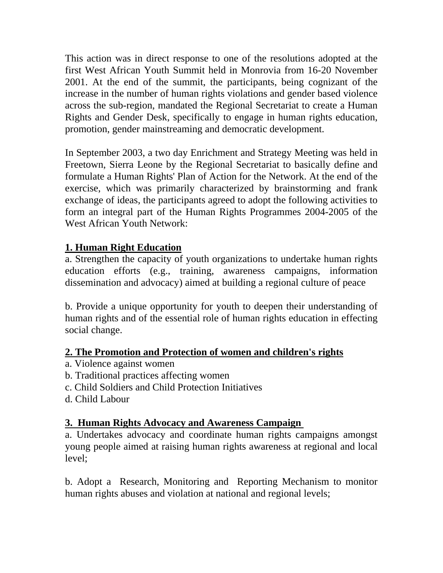This action was in direct response to one of the resolutions adopted at the first West African Youth Summit held in Monrovia from 16-20 November 2001. At the end of the summit, the participants, being cognizant of the increase in the number of human rights violations and gender based violence across the sub-region, mandated the Regional Secretariat to create a Human Rights and Gender Desk, specifically to engage in human rights education, promotion, gender mainstreaming and democratic development.

In September 2003, a two day Enrichment and Strategy Meeting was held in Freetown, Sierra Leone by the Regional Secretariat to basically define and formulate a Human Rights' Plan of Action for the Network. At the end of the exercise, which was primarily characterized by brainstorming and frank exchange of ideas, the participants agreed to adopt the following activities to form an integral part of the Human Rights Programmes 2004-2005 of the West African Youth Network:

# **1. Human Right Education**

a. Strengthen the capacity of youth organizations to undertake human rights education efforts (e.g., training, awareness campaigns, information dissemination and advocacy) aimed at building a regional culture of peace

b. Provide a unique opportunity for youth to deepen their understanding of human rights and of the essential role of human rights education in effecting social change.

# **2. The Promotion and Protection of women and children's rights**

- a. Violence against women
- b. Traditional practices affecting women
- c. Child Soldiers and Child Protection Initiatives
- d. Child Labour

# **3. Human Rights Advocacy and Awareness Campaign**

a. Undertakes advocacy and coordinate human rights campaigns amongst young people aimed at raising human rights awareness at regional and local level;

b. Adopt a Research, Monitoring and Reporting Mechanism to monitor human rights abuses and violation at national and regional levels;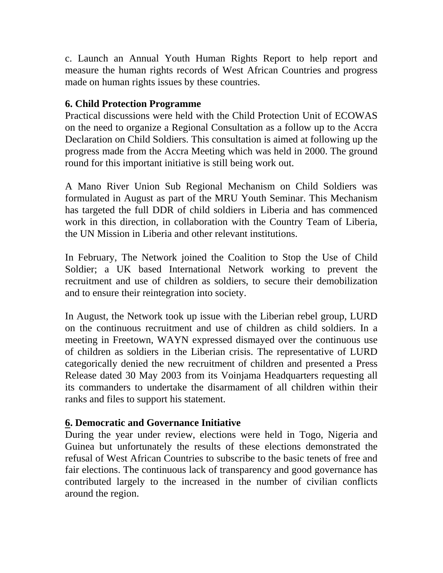c. Launch an Annual Youth Human Rights Report to help report and measure the human rights records of West African Countries and progress made on human rights issues by these countries.

# **6. Child Protection Programme**

Practical discussions were held with the Child Protection Unit of ECOWAS on the need to organize a Regional Consultation as a follow up to the Accra Declaration on Child Soldiers. This consultation is aimed at following up the progress made from the Accra Meeting which was held in 2000. The ground round for this important initiative is still being work out.

A Mano River Union Sub Regional Mechanism on Child Soldiers was formulated in August as part of the MRU Youth Seminar. This Mechanism has targeted the full DDR of child soldiers in Liberia and has commenced work in this direction, in collaboration with the Country Team of Liberia, the UN Mission in Liberia and other relevant institutions.

In February, The Network joined the Coalition to Stop the Use of Child Soldier; a UK based International Network working to prevent the recruitment and use of children as soldiers, to secure their demobilization and to ensure their reintegration into society.

In August, the Network took up issue with the Liberian rebel group, LURD on the continuous recruitment and use of children as child soldiers. In a meeting in Freetown, WAYN expressed dismayed over the continuous use of children as soldiers in the Liberian crisis. The representative of LURD categorically denied the new recruitment of children and presented a Press Release dated 30 May 2003 from its Voinjama Headquarters requesting all its commanders to undertake the disarmament of all children within their ranks and files to support his statement.

# **6. Democratic and Governance Initiative**

During the year under review, elections were held in Togo, Nigeria and Guinea but unfortunately the results of these elections demonstrated the refusal of West African Countries to subscribe to the basic tenets of free and fair elections. The continuous lack of transparency and good governance has contributed largely to the increased in the number of civilian conflicts around the region.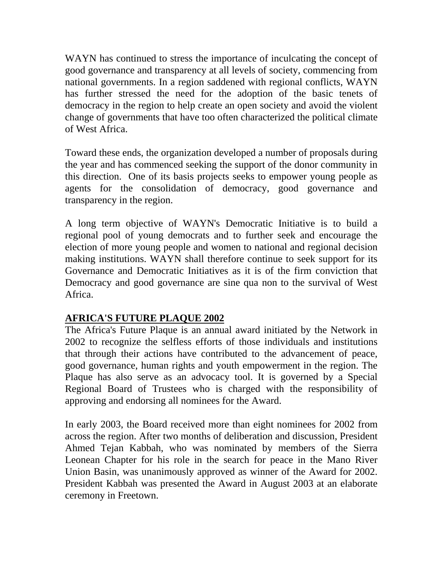WAYN has continued to stress the importance of inculcating the concept of good governance and transparency at all levels of society, commencing from national governments. In a region saddened with regional conflicts, WAYN has further stressed the need for the adoption of the basic tenets of democracy in the region to help create an open society and avoid the violent change of governments that have too often characterized the political climate of West Africa.

Toward these ends, the organization developed a number of proposals during the year and has commenced seeking the support of the donor community in this direction. One of its basis projects seeks to empower young people as agents for the consolidation of democracy, good governance and transparency in the region.

A long term objective of WAYN's Democratic Initiative is to build a regional pool of young democrats and to further seek and encourage the election of more young people and women to national and regional decision making institutions. WAYN shall therefore continue to seek support for its Governance and Democratic Initiatives as it is of the firm conviction that Democracy and good governance are sine qua non to the survival of West Africa.

# **AFRICA'S FUTURE PLAQUE 2002**

The Africa's Future Plaque is an annual award initiated by the Network in 2002 to recognize the selfless efforts of those individuals and institutions that through their actions have contributed to the advancement of peace, good governance, human rights and youth empowerment in the region. The Plaque has also serve as an advocacy tool. It is governed by a Special Regional Board of Trustees who is charged with the responsibility of approving and endorsing all nominees for the Award.

In early 2003, the Board received more than eight nominees for 2002 from across the region. After two months of deliberation and discussion, President Ahmed Tejan Kabbah, who was nominated by members of the Sierra Leonean Chapter for his role in the search for peace in the Mano River Union Basin, was unanimously approved as winner of the Award for 2002. President Kabbah was presented the Award in August 2003 at an elaborate ceremony in Freetown.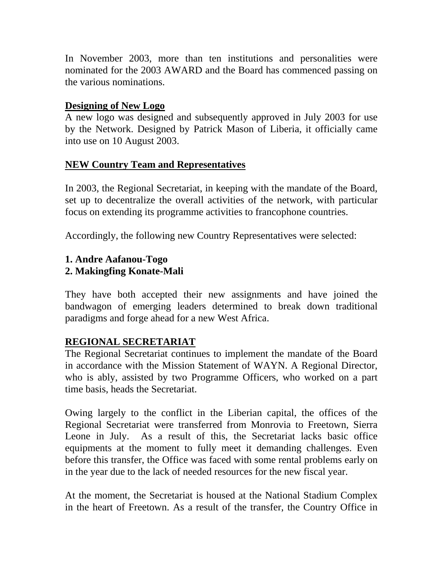In November 2003, more than ten institutions and personalities were nominated for the 2003 AWARD and the Board has commenced passing on the various nominations.

#### **Designing of New Logo**

A new logo was designed and subsequently approved in July 2003 for use by the Network. Designed by Patrick Mason of Liberia, it officially came into use on 10 August 2003.

#### **NEW Country Team and Representatives**

In 2003, the Regional Secretariat, in keeping with the mandate of the Board, set up to decentralize the overall activities of the network, with particular focus on extending its programme activities to francophone countries.

Accordingly, the following new Country Representatives were selected:

#### **1. Andre Aafanou-Togo 2. Makingfing Konate-Mali**

They have both accepted their new assignments and have joined the bandwagon of emerging leaders determined to break down traditional paradigms and forge ahead for a new West Africa.

# **REGIONAL SECRETARIAT**

The Regional Secretariat continues to implement the mandate of the Board in accordance with the Mission Statement of WAYN. A Regional Director, who is ably, assisted by two Programme Officers, who worked on a part time basis, heads the Secretariat.

Owing largely to the conflict in the Liberian capital, the offices of the Regional Secretariat were transferred from Monrovia to Freetown, Sierra Leone in July. As a result of this, the Secretariat lacks basic office equipments at the moment to fully meet it demanding challenges. Even before this transfer, the Office was faced with some rental problems early on in the year due to the lack of needed resources for the new fiscal year.

At the moment, the Secretariat is housed at the National Stadium Complex in the heart of Freetown. As a result of the transfer, the Country Office in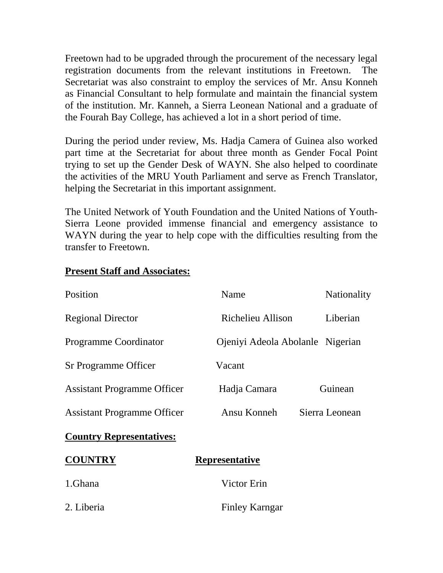Freetown had to be upgraded through the procurement of the necessary legal registration documents from the relevant institutions in Freetown. The Secretariat was also constraint to employ the services of Mr. Ansu Konneh as Financial Consultant to help formulate and maintain the financial system of the institution. Mr. Kanneh, a Sierra Leonean National and a graduate of the Fourah Bay College, has achieved a lot in a short period of time.

During the period under review, Ms. Hadja Camera of Guinea also worked part time at the Secretariat for about three month as Gender Focal Point trying to set up the Gender Desk of WAYN. She also helped to coordinate the activities of the MRU Youth Parliament and serve as French Translator, helping the Secretariat in this important assignment.

The United Network of Youth Foundation and the United Nations of Youth-Sierra Leone provided immense financial and emergency assistance to WAYN during the year to help cope with the difficulties resulting from the transfer to Freetown.

| Position                           | Name                             | <b>Nationality</b> |
|------------------------------------|----------------------------------|--------------------|
| <b>Regional Director</b>           | Richelieu Allison                | Liberian           |
| <b>Programme Coordinator</b>       | Ojeniyi Adeola Abolanle Nigerian |                    |
| Sr Programme Officer               | Vacant                           |                    |
| <b>Assistant Programme Officer</b> | Hadja Camara                     | Guinean            |
| <b>Assistant Programme Officer</b> | Ansu Konneh                      | Sierra Leonean     |
| <b>Country Representatives:</b>    |                                  |                    |
| <b>COUNTRY</b>                     | <b>Representative</b>            |                    |
| 1.Ghana                            | Victor Erin                      |                    |
| 2. Liberia                         | Finley Karngar                   |                    |

#### **Present Staff and Associates:**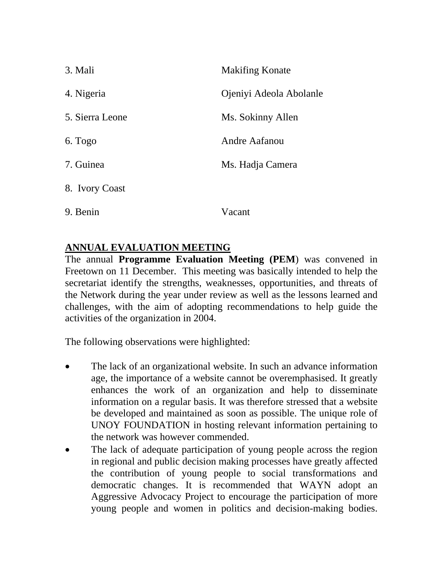| 3. Mali         | <b>Makifing Konate</b>  |
|-----------------|-------------------------|
| 4. Nigeria      | Ojeniyi Adeola Abolanle |
| 5. Sierra Leone | Ms. Sokinny Allen       |
| 6. Togo         | Andre Aafanou           |
| 7. Guinea       | Ms. Hadja Camera        |
| 8. Ivory Coast  |                         |
| 9. Benin        | Vacant                  |

# **ANNUAL EVALUATION MEETING**

The annual **Programme Evaluation Meeting (PEM**) was convened in Freetown on 11 December. This meeting was basically intended to help the secretariat identify the strengths, weaknesses, opportunities, and threats of the Network during the year under review as well as the lessons learned and challenges, with the aim of adopting recommendations to help guide the activities of the organization in 2004.

The following observations were highlighted:

- The lack of an organizational website. In such an advance information age, the importance of a website cannot be overemphasised. It greatly enhances the work of an organization and help to disseminate information on a regular basis. It was therefore stressed that a website be developed and maintained as soon as possible. The unique role of UNOY FOUNDATION in hosting relevant information pertaining to the network was however commended.
- The lack of adequate participation of young people across the region in regional and public decision making processes have greatly affected the contribution of young people to social transformations and democratic changes. It is recommended that WAYN adopt an Aggressive Advocacy Project to encourage the participation of more young people and women in politics and decision-making bodies.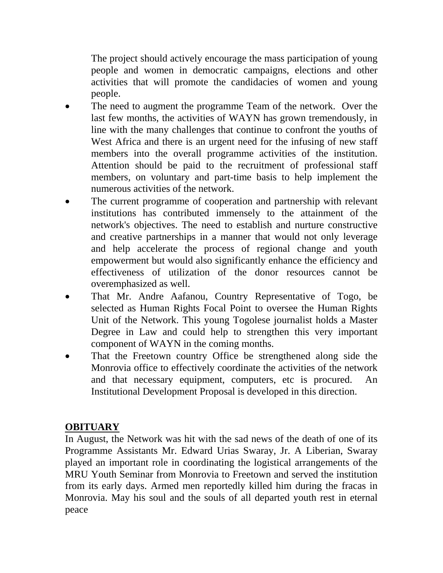The project should actively encourage the mass participation of young people and women in democratic campaigns, elections and other activities that will promote the candidacies of women and young people.

- The need to augment the programme Team of the network. Over the last few months, the activities of WAYN has grown tremendously, in line with the many challenges that continue to confront the youths of West Africa and there is an urgent need for the infusing of new staff members into the overall programme activities of the institution. Attention should be paid to the recruitment of professional staff members, on voluntary and part-time basis to help implement the numerous activities of the network.
- The current programme of cooperation and partnership with relevant institutions has contributed immensely to the attainment of the network's objectives. The need to establish and nurture constructive and creative partnerships in a manner that would not only leverage and help accelerate the process of regional change and youth empowerment but would also significantly enhance the efficiency and effectiveness of utilization of the donor resources cannot be overemphasized as well.
- That Mr. Andre Aafanou, Country Representative of Togo, be selected as Human Rights Focal Point to oversee the Human Rights Unit of the Network. This young Togolese journalist holds a Master Degree in Law and could help to strengthen this very important component of WAYN in the coming months.
- That the Freetown country Office be strengthened along side the Monrovia office to effectively coordinate the activities of the network and that necessary equipment, computers, etc is procured. An Institutional Development Proposal is developed in this direction.

# **OBITUARY**

In August, the Network was hit with the sad news of the death of one of its Programme Assistants Mr. Edward Urias Swaray, Jr. A Liberian, Swaray played an important role in coordinating the logistical arrangements of the MRU Youth Seminar from Monrovia to Freetown and served the institution from its early days. Armed men reportedly killed him during the fracas in Monrovia. May his soul and the souls of all departed youth rest in eternal peace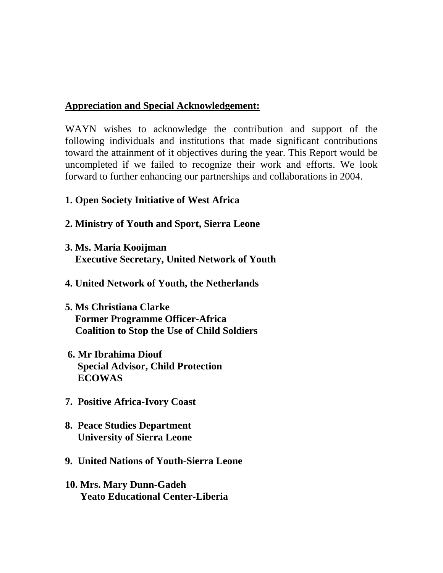#### **Appreciation and Special Acknowledgement:**

WAYN wishes to acknowledge the contribution and support of the following individuals and institutions that made significant contributions toward the attainment of it objectives during the year. This Report would be uncompleted if we failed to recognize their work and efforts. We look forward to further enhancing our partnerships and collaborations in 2004.

#### **1. Open Society Initiative of West Africa**

- **2. Ministry of Youth and Sport, Sierra Leone**
- **3. Ms. Maria Kooijman Executive Secretary, United Network of Youth**
- **4. United Network of Youth, the Netherlands**
- **5. Ms Christiana Clarke Former Programme Officer-Africa Coalition to Stop the Use of Child Soldiers**
- **6. Mr Ibrahima Diouf Special Advisor, Child Protection ECOWAS**
- **7. Positive Africa-Ivory Coast**
- **8. Peace Studies Department University of Sierra Leone**
- **9. United Nations of Youth-Sierra Leone**
- **10. Mrs. Mary Dunn-Gadeh Yeato Educational Center-Liberia**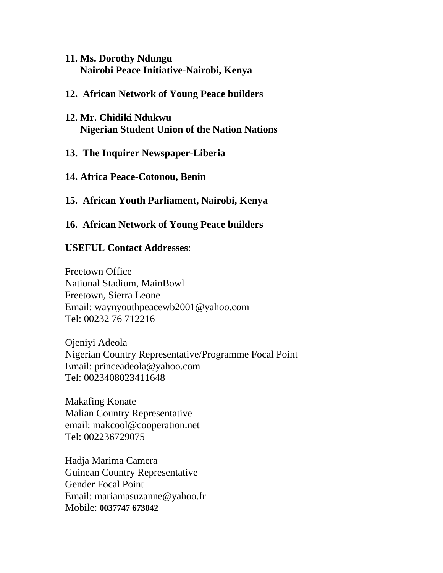- **11. Ms. Dorothy Ndungu Nairobi Peace Initiative-Nairobi, Kenya**
- **12. African Network of Young Peace builders**
- **12. Mr. Chidiki Ndukwu Nigerian Student Union of the Nation Nations**
- **13. The Inquirer Newspaper-Liberia**
- **14. Africa Peace-Cotonou, Benin**
- **15. African Youth Parliament, Nairobi, Kenya**
- **16. African Network of Young Peace builders**

#### **USEFUL Contact Addresses**:

Freetown Office National Stadium, MainBowl Freetown, Sierra Leone Email: waynyouthpeacewb2001@yahoo.com Tel: 00232 76 712216

Ojeniyi Adeola Nigerian Country Representative/Programme Focal Point Email: princeadeola@yahoo.com Tel: 0023408023411648

Makafing Konate Malian Country Representative email: makcool@cooperation.net Tel: 002236729075

Hadja Marima Camera Guinean Country Representative Gender Focal Point Email: mariamasuzanne@yahoo.fr Mobile: **0037747 673042**